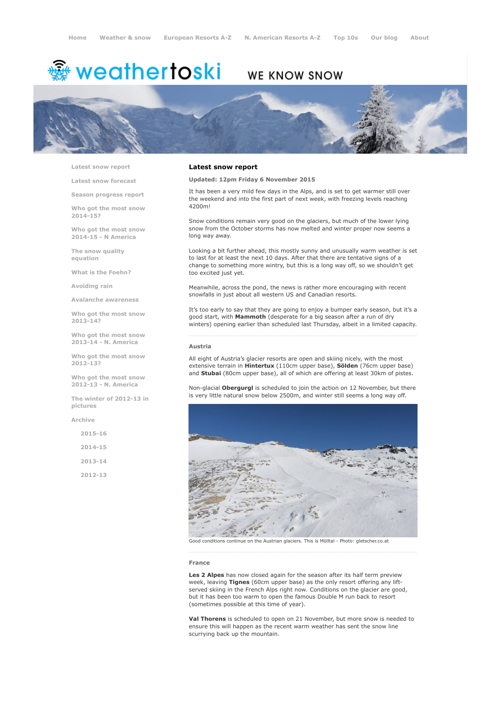# weathertoski ﷺ

## WE KNOW SNOW



Latest snow [report](http://www.weathertoski.co.uk/weather-snow/latest-snow-report/)

Latest snow [forecast](http://www.weathertoski.co.uk/weather-snow/latest-snow-forecast/)

Season [progress](http://www.weathertoski.co.uk/weather-snow/season-progress-report/) report

Who got the most snow 2014-15?

Who got the most snow 2014-15 - N America

The snow quality [equation](http://www.weathertoski.co.uk/weather-snow/the-snow-quality-equation/)

What is the [Foehn?](http://www.weathertoski.co.uk/weather-snow/what-is-the-foehn/)

[Avoiding](http://www.weathertoski.co.uk/weather-snow/avoiding-rain/) rain

Avalanche [awareness](http://www.weathertoski.co.uk/weather-snow/avalanche-awareness/)

Who got the most snow 2013-14?

Who got the most snow 2013-14 - N. America

Who got the most snow 2012-13?

Who got the most snow 2012-13 - N. America

The winter of 2012-13 in pictures

[Archive](http://www.weathertoski.co.uk/weather-snow/archive/)

2015-16 2014-15 2013-14 2012-13

Latest snow report

#### Updated: 12pm Friday 6 November 2015

It has been a very mild few days in the Alps, and is set to get warmer still over the weekend and into the first part of next week, with freezing levels reaching 4200m!

Snow conditions remain very good on the glaciers, but much of the lower lying snow from the October storms has now melted and winter proper now seems a long way away.

Looking a bit further ahead, this mostly sunny and unusually warm weather is set to last for at least the next 10 days. After that there are tentative signs of a change to something more wintry, but this is a long way off, so we shouldn't get too excited just yet.

Meanwhile, across the pond, the news is rather more encouraging with recent snowfalls in just about all western US and Canadian resorts.

It's too early to say that they are going to enjoy a bumper early season, but it's a good start, with Mammoth (desperate for a big season after a run of dry winters) opening earlier than scheduled last Thursday, albeit in a limited capacity.

#### Austria

All eight of Austria's glacier resorts are open and skiing nicely, with the most extensive terrain in Hintertux (110cm upper base), Sölden (76cm upper base) and Stubai (80cm upper base), all of which are offering at least 30km of pistes.

Non-glacial Obergurgl is scheduled to join the action on 12 November, but there is very little natural snow below 2500m, and winter still seems a long way off.



Good conditions continue on the Austrian glaciers. This is Mölltal - Photo: gletscher.co.at

#### France

Les 2 Alpes has now closed again for the season after its half term preview week, leaving Tignes (60cm upper base) as the only resort offering any liftserved skiing in the French Alps right now. Conditions on the glacier are good, but it has been too warm to open the famous Double M run back to resort (sometimes possible at this time of year).

Val Thorens is scheduled to open on 21 November, but more snow is needed to ensure this will happen as the recent warm weather has sent the snow line scurrying back up the mountain.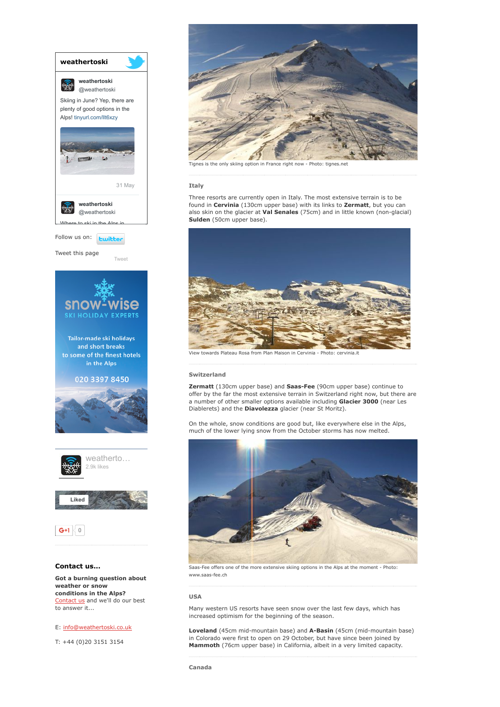

### E: [info@weathertoski.co.uk](mailto:fraser@weathertoski.co.uk)

T: +44 (0)20 3151 3154



Tignes is the only skiing option in France right now - Photo: tignes.net

#### Italy

Three resorts are currently open in Italy. The most extensive terrain is to be found in Cervinia (130cm upper base) with its links to Zermatt, but you can also skin on the glacier at Val Senales (75cm) and in little known (non-glacial) Sulden (50cm upper base).



wards Plateau Rosa from Plan Maison in Cervinia

#### Switzerland

Zermatt (130cm upper base) and Saas-Fee (90cm upper base) continue to offer by the far the most extensive terrain in Switzerland right now, but there are a number of other smaller options available including Glacier 3000 (near Les Diablerets) and the Diavolezza glacier (near St Moritz).

On the whole, snow conditions are good but, like everywhere else in the Alps, much of the lower lying snow from the October storms has now melted.



Saas-Fee offers one of the more extensive skiing options in the Alps at the moment - Photo: www.saas-fee.ch

#### USA

Many western US resorts have seen snow over the last few days, which has increased optimism for the beginning of the season.

Loveland (45cm mid-mountain base) and A-Basin (45cm (mid-mountain base) in Colorado were first to open on 29 October, but have since been joined by Mammoth (76cm upper base) in California, albeit in a very limited capacity.